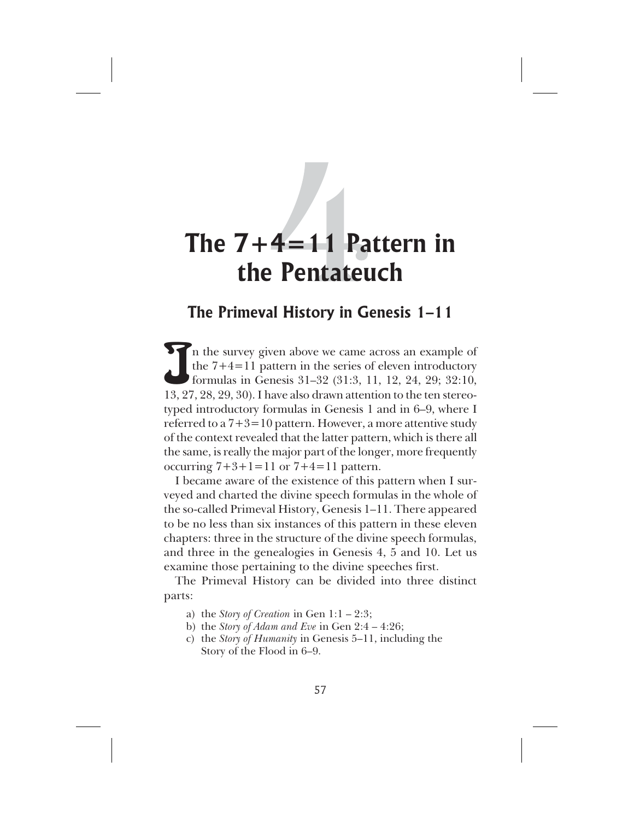# **The Primeval History in Genesis 1–11**

In the survey given above we came across an example of the 7+4=11 pattern in the series of eleven introductory formulas in Genesis 31–32 (31:3, 11, 12, 24, 29; 32:10, 13, 27, 28, 29, 30). I have also drawn attention to the n the survey given above we came across an example of the 7+4=11 pattern in the series of eleven introductory formulas in Genesis 31–32 (31:3, 11, 12, 24, 29; 32:10, typed introductory formulas in Genesis 1 and in 6–9, where I referred to a  $7+3=10$  pattern. However, a more attentive study of the context revealed that the latter pattern, which is there all the same, is really the major part of the longer, more frequently occurring  $7+3+1=11$  or  $7+4=11$  pattern.

I became aware of the existence of this pattern when I surveyed and charted the divine speech formulas in the whole of the so-called Primeval History, Genesis 1–11. There appeared to be no less than six instances of this pattern in these eleven chapters: three in the structure of the divine speech formulas, and three in the genealogies in Genesis 4, 5 and 10. Let us examine those pertaining to the divine speeches first.

The Primeval History can be divided into three distinct parts:

- a) the *Story of Creation* in Gen 1:1 2:3;
- b) the *Story of Adam and Eve* in Gen 2:4 4:26;
- c) the *Story of Humanity* in Genesis 5–11, including the Story of the Flood in 6–9.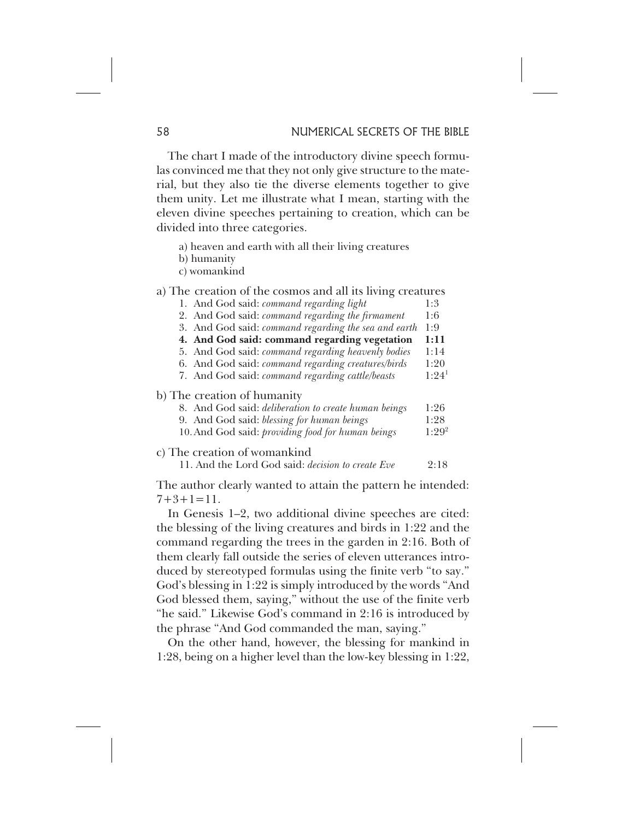The chart I made of the introductory divine speech formulas convinced me that they not only give structure to the material, but they also tie the diverse elements together to give them unity. Let me illustrate what I mean, starting with the eleven divine speeches pertaining to creation, which can be divided into three categories.

- a) heaven and earth with all their living creatures
- b) humanity
- c) womankind
- a) The creation of the cosmos and all its living creatures 1. And God said: *command regarding light* 1:3
	- 2. And God said: *command regarding the firmament* 1:6
	- 3. And God said: *command regarding the sea and earth* 1:9
	- **4. And God said: command regarding vegetation 1:11**
	- 5. And God said: *command regarding heavenly bodies* 1:14
	- 6. And God said: *command regarding creatures/birds* 1:20
	- 7. And God said: *command regarding cattle/beasts*

#### b) The creation of humanity

- 8. And God said: *deliberation to create human beings* 1:26 9. And God said: *blessing for human beings* 1:28 10.And God said: *providing food for human beings* 1:29<sup>2</sup>
- c) The creation of womankind
	- 11. And the Lord God said: *decision to create Eve* 2:18

The author clearly wanted to attain the pattern he intended:  $7+3+1=11$ .

In Genesis 1–2, two additional divine speeches are cited: the blessing of the living creatures and birds in 1:22 and the command regarding the trees in the garden in 2:16. Both of them clearly fall outside the series of eleven utterances introduced by stereotyped formulas using the finite verb "to say." God's blessing in 1:22 is simply introduced by the words "And God blessed them, saying," without the use of the finite verb "he said." Likewise God's command in 2:16 is introduced by the phrase "And God commanded the man, saying."

On the other hand, however, the blessing for mankind in 1:28, being on a higher level than the low-key blessing in 1:22,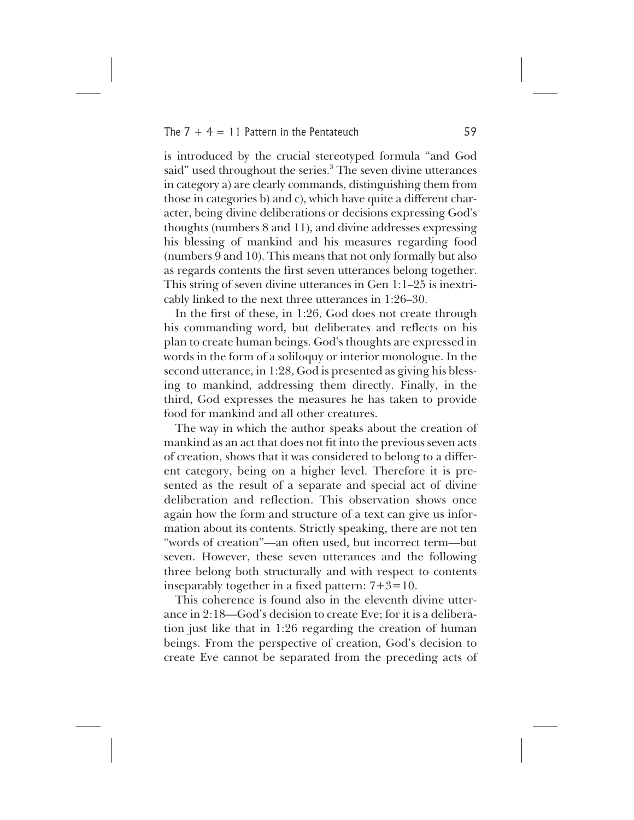is introduced by the crucial stereotyped formula "and God said" used throughout the series.<sup>3</sup> The seven divine utterances in category a) are clearly commands, distinguishing them from those in categories b) and c), which have quite a different character, being divine deliberations or decisions expressing God's thoughts (numbers 8 and 11), and divine addresses expressing his blessing of mankind and his measures regarding food (numbers 9 and 10). This means that not only formally but also as regards contents the first seven utterances belong together. This string of seven divine utterances in Gen 1:1–25 is inextricably linked to the next three utterances in 1:26–30.

In the first of these, in 1:26, God does not create through his commanding word, but deliberates and reflects on his plan to create human beings. God's thoughts are expressed in words in the form of a soliloquy or interior monologue. In the second utterance, in 1:28, God is presented as giving his blessing to mankind, addressing them directly. Finally, in the third, God expresses the measures he has taken to provide food for mankind and all other creatures.

The way in which the author speaks about the creation of mankind as an act that does not fit into the previous seven acts of creation, shows that it was considered to belong to a different category, being on a higher level. Therefore it is presented as the result of a separate and special act of divine deliberation and reflection. This observation shows once again how the form and structure of a text can give us information about its contents. Strictly speaking, there are not ten "words of creation"—an often used, but incorrect term—but seven. However, these seven utterances and the following three belong both structurally and with respect to contents inseparably together in a fixed pattern:  $7+3=10$ .

This coherence is found also in the eleventh divine utterance in 2:18—God's decision to create Eve; for it is a deliberation just like that in 1:26 regarding the creation of human beings. From the perspective of creation, God's decision to create Eve cannot be separated from the preceding acts of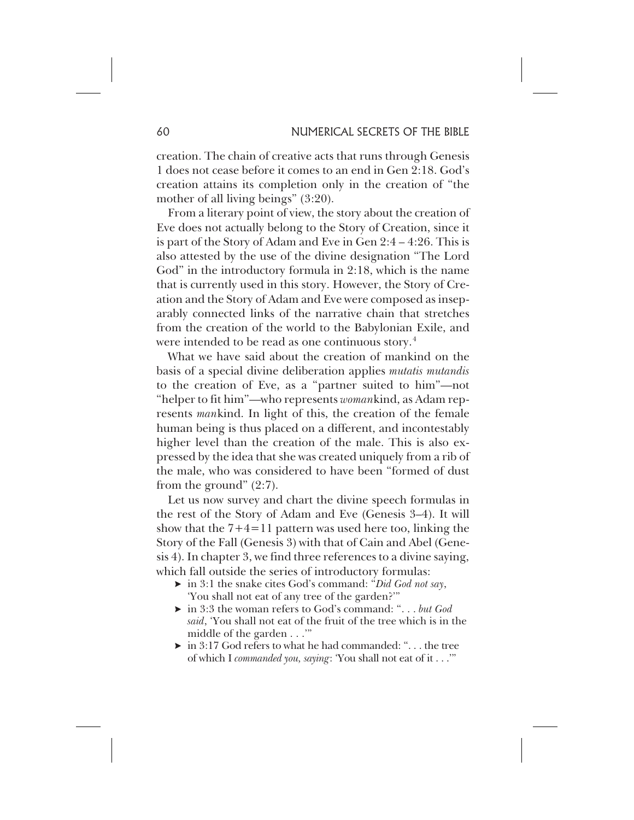creation. The chain of creative acts that runs through Genesis 1 does not cease before it comes to an end in Gen 2:18. God's creation attains its completion only in the creation of "the mother of all living beings" (3:20).

From a literary point of view, the story about the creation of Eve does not actually belong to the Story of Creation, since it is part of the Story of Adam and Eve in Gen 2:4 – 4:26. This is also attested by the use of the divine designation "The Lord God" in the introductory formula in 2:18, which is the name that is currently used in this story. However, the Story of Creation and the Story of Adam and Eve were composed as inseparably connected links of the narrative chain that stretches from the creation of the world to the Babylonian Exile, and were intended to be read as one continuous story.<sup>4</sup>

What we have said about the creation of mankind on the basis of a special divine deliberation applies *mutatis mutandis* to the creation of Eve, as a "partner suited to him"—not "helper to fit him"—who represents *woman*kind, as Adam represents *man*kind. In light of this, the creation of the female human being is thus placed on a different, and incontestably higher level than the creation of the male. This is also expressed by the idea that she was created uniquely from a rib of the male, who was considered to have been "formed of dust from the ground" (2:7).

Let us now survey and chart the divine speech formulas in the rest of the Story of Adam and Eve (Genesis 3–4). It will show that the  $7+4=11$  pattern was used here too, linking the Story of the Fall (Genesis 3) with that of Cain and Abel (Genesis 4). In chapter 3, we find three references to a divine saying, which fall outside the series of introductory formulas:

- in 3:1 the snake cites God's command: "*Did God not say*, 'You shall not eat of any tree of the garden?'"
- in 3:3 the woman refers to God's command: ". . . *but God said*, 'You shall not eat of the fruit of the tree which is in the middle of the garden . . .'"
- $\triangleright$  in 3:17 God refers to what he had commanded: "... the tree of which I *commanded you, saying*: 'You shall not eat of it . . .'"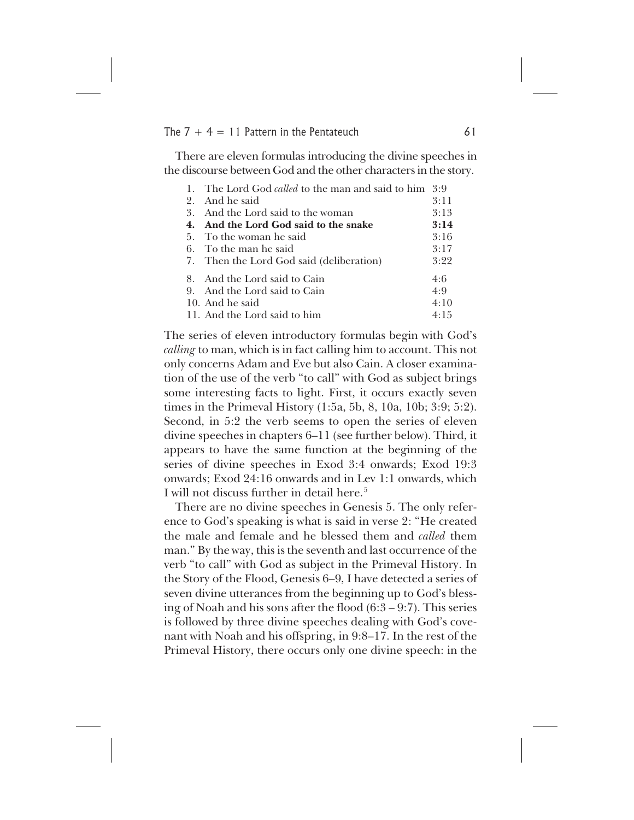There are eleven formulas introducing the divine speeches in the discourse between God and the other characters in the story.

|    | 1. The Lord God <i>called</i> to the man and said to him | 3:9  |
|----|----------------------------------------------------------|------|
| 2. | And he said                                              | 3:11 |
|    | 3. And the Lord said to the woman                        | 3:13 |
|    | 4. And the Lord God said to the snake                    | 3:14 |
|    | 5. To the woman he said                                  | 3:16 |
|    | 6. To the man he said                                    | 3:17 |
|    | 7. Then the Lord God said (deliberation)                 | 3:22 |
|    | 8. And the Lord said to Cain                             | 4:6  |
|    | 9. And the Lord said to Cain                             | 4:9  |
|    | 10. And he said                                          | 4:10 |
|    | 11. And the Lord said to him                             | 4:15 |

The series of eleven introductory formulas begin with God's *calling* to man, which is in fact calling him to account. This not only concerns Adam and Eve but also Cain. A closer examination of the use of the verb "to call" with God as subject brings some interesting facts to light. First, it occurs exactly seven times in the Primeval History (1:5a, 5b, 8, 10a, 10b; 3:9; 5:2). Second, in 5:2 the verb seems to open the series of eleven divine speeches in chapters 6–11 (see further below). Third, it appears to have the same function at the beginning of the series of divine speeches in Exod 3:4 onwards; Exod 19:3 onwards; Exod 24:16 onwards and in Lev 1:1 onwards, which I will not discuss further in detail here.<sup>5</sup>

There are no divine speeches in Genesis 5. The only reference to God's speaking is what is said in verse 2: "He created the male and female and he blessed them and *called* them man." By the way, this is the seventh and last occurrence of the verb "to call" with God as subject in the Primeval History. In the Story of the Flood, Genesis 6–9, I have detected a series of seven divine utterances from the beginning up to God's blessing of Noah and his sons after the flood (6:3 – 9:7). This series is followed by three divine speeches dealing with God's covenant with Noah and his offspring, in 9:8–17. In the rest of the Primeval History, there occurs only one divine speech: in the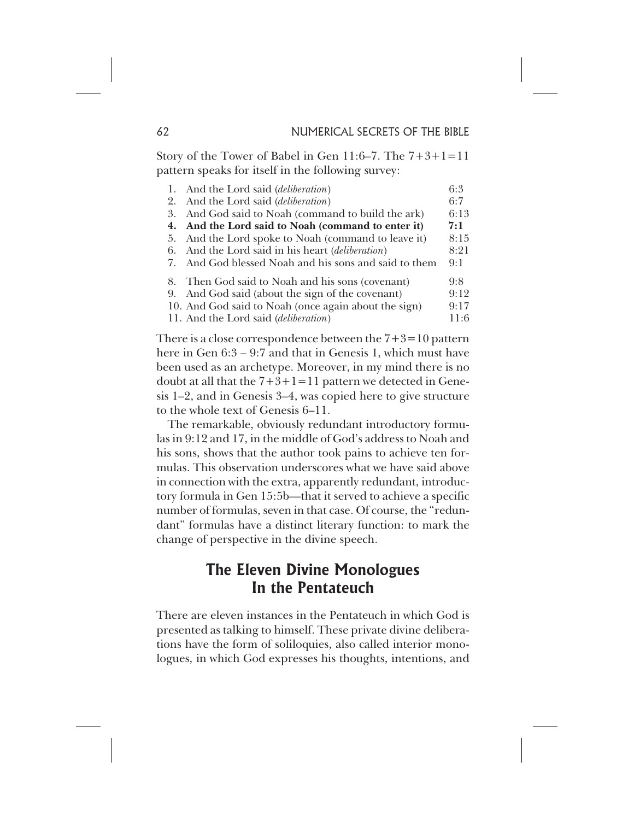Story of the Tower of Babel in Gen 11:6–7. The 7+3+1=11 pattern speaks for itself in the following survey:

|    | 1. And the Lord said ( <i>deliberation</i> )          | 6:3  |
|----|-------------------------------------------------------|------|
| 2. | And the Lord said ( <i>deliberation</i> )             | 6:7  |
| 3. | And God said to Noah (command to build the ark)       | 6:13 |
|    | 4. And the Lord said to Noah (command to enter it)    | 7:1  |
|    | 5. And the Lord spoke to Noah (command to leave it)   | 8:15 |
| 6. | And the Lord said in his heart <i>(deliberation)</i>  | 8:21 |
|    | 7. And God blessed Noah and his sons and said to them | 9:1  |
|    | 8. Then God said to Noah and his sons (covenant)      | 9:8  |
|    | 9. And God said (about the sign of the covenant)      | 9:12 |
|    | 10. And God said to Noah (once again about the sign)  | 9:17 |
|    | 11. And the Lord said <i>(deliberation)</i>           | 11:6 |

There is a close correspondence between the  $7+3=10$  pattern here in Gen 6:3 – 9:7 and that in Genesis 1, which must have been used as an archetype. Moreover, in my mind there is no doubt at all that the  $7+3+1=11$  pattern we detected in Genesis 1–2, and in Genesis 3–4, was copied here to give structure to the whole text of Genesis 6–11.

The remarkable, obviously redundant introductory formulas in 9:12 and 17, in the middle of God's address to Noah and his sons, shows that the author took pains to achieve ten formulas. This observation underscores what we have said above in connection with the extra, apparently redundant, introductory formula in Gen 15:5b—that it served to achieve a specific number of formulas, seven in that case. Of course, the "redundant" formulas have a distinct literary function: to mark the change of perspective in the divine speech.

# **The Eleven Divine Monologues In the Pentateuch**

There are eleven instances in the Pentateuch in which God is presented as talking to himself. These private divine deliberations have the form of soliloquies, also called interior monologues, in which God expresses his thoughts, intentions, and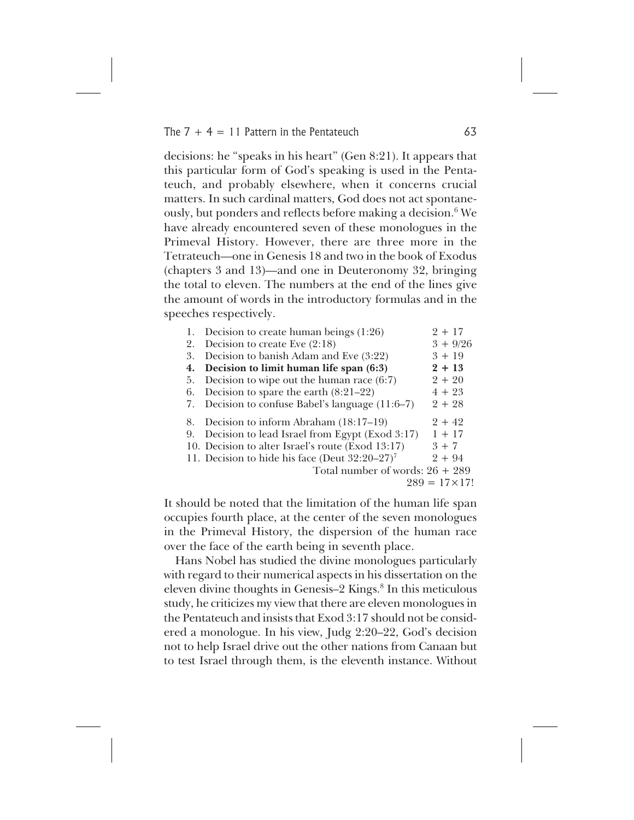decisions: he "speaks in his heart" (Gen 8:21). It appears that this particular form of God's speaking is used in the Pentateuch, and probably elsewhere, when it concerns crucial matters. In such cardinal matters, God does not act spontaneously, but ponders and reflects before making a decision.<sup>6</sup> We have already encountered seven of these monologues in the Primeval History. However, there are three more in the Tetrateuch—one in Genesis 18 and two in the book of Exodus (chapters 3 and 13)—and one in Deuteronomy 32, bringing the total to eleven. The numbers at the end of the lines give the amount of words in the introductory formulas and in the speeches respectively.

|    | Decision to create human beings (1:26)                        | $2 + 17$              |
|----|---------------------------------------------------------------|-----------------------|
| 2. | Decision to create Eve $(2:18)$                               | $3 + 9/26$            |
| 3. | Decision to banish Adam and Eve (3:22)                        | $3 + 19$              |
| 4. | Decision to limit human life span (6:3)                       | $2 + 13$              |
| 5. | Decision to wipe out the human race $(6:7)$                   | $2 + 20$              |
| 6. | Decision to spare the earth $(8:21-22)$                       | $4 + 23$              |
| 7. | Decision to confuse Babel's language $(11:6-7)$               | $2 + 28$              |
| 8. | Decision to inform Abraham $(18:17-19)$                       | $2 + 42$              |
| 9. | Decision to lead Israel from Egypt (Exod 3:17)                | $1 + 17$              |
|    | 10. Decision to alter Israel's route (Exod 13:17)             | $3 + 7$               |
|    | 11. Decision to hide his face (Deut $32:20-27$ ) <sup>7</sup> | $2 + 94$              |
|    | Total number of words: $26 + 289$                             |                       |
|    |                                                               | $289 = 17 \times 17!$ |
|    |                                                               |                       |

It should be noted that the limitation of the human life span occupies fourth place, at the center of the seven monologues in the Primeval History, the dispersion of the human race over the face of the earth being in seventh place.

Hans Nobel has studied the divine monologues particularly with regard to their numerical aspects in his dissertation on the eleven divine thoughts in Genesis–2 Kings.<sup>8</sup> In this meticulous study, he criticizes my view that there are eleven monologues in the Pentateuch and insists that Exod 3:17 should not be considered a monologue. In his view, Judg 2:20–22, God's decision not to help Israel drive out the other nations from Canaan but to test Israel through them, is the eleventh instance. Without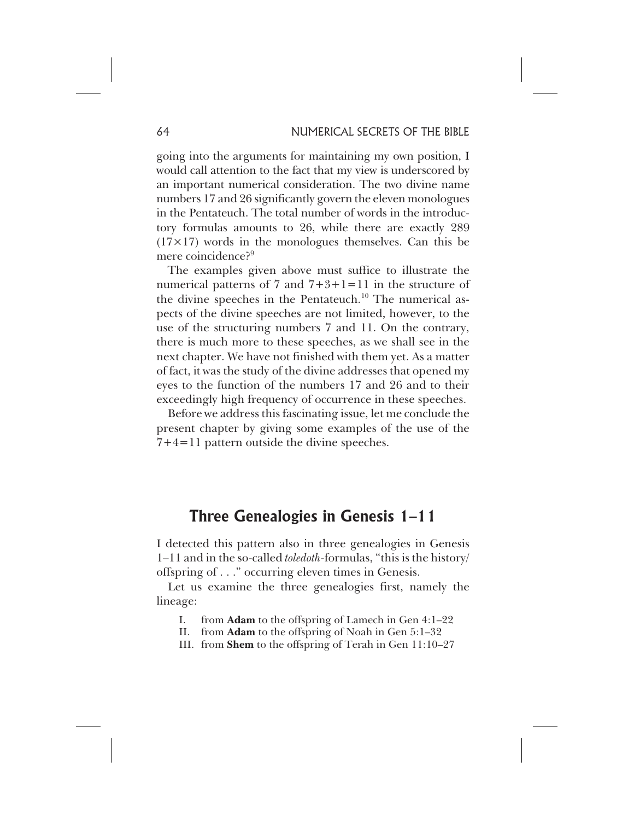going into the arguments for maintaining my own position, I would call attention to the fact that my view is underscored by an important numerical consideration. The two divine name numbers 17 and 26 significantly govern the eleven monologues in the Pentateuch. The total number of words in the introductory formulas amounts to 26, while there are exactly 289  $(17\times17)$  words in the monologues themselves. Can this be mere coincidence?<sup>9</sup>

The examples given above must suffice to illustrate the numerical patterns of 7 and  $7+3+1=11$  in the structure of the divine speeches in the Pentateuch.<sup>10</sup> The numerical aspects of the divine speeches are not limited, however, to the use of the structuring numbers 7 and 11. On the contrary, there is much more to these speeches, as we shall see in the next chapter. We have not finished with them yet. As a matter of fact, it was the study of the divine addresses that opened my eyes to the function of the numbers 17 and 26 and to their exceedingly high frequency of occurrence in these speeches.

Before we address this fascinating issue, let me conclude the present chapter by giving some examples of the use of the 7+4=11 pattern outside the divine speeches.

# **Three Genealogies in Genesis 1–11**

I detected this pattern also in three genealogies in Genesis 1–11 and in the so-called *toledoth*-formulas, "this is the history/ offspring of . . ." occurring eleven times in Genesis.

Let us examine the three genealogies first, namely the lineage:

- I. from **Adam** to the offspring of Lamech in Gen 4:1–22
- II. from **Adam** to the offspring of Noah in Gen 5:1–32
- III. from **Shem** to the offspring of Terah in Gen 11:10–27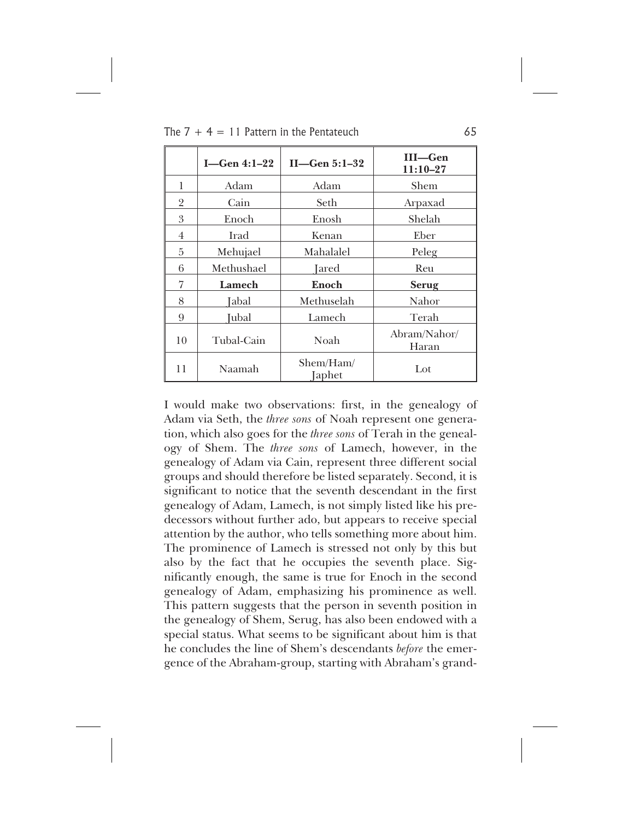|    | $I$ —Gen 4:1–22 | $II$ –Gen 5:1–32    | III-Gen<br>$11:10-27$ |
|----|-----------------|---------------------|-----------------------|
| 1  | Adam            | Adam                | Shem                  |
| 2  | Cain            | Seth                | Arpaxad               |
| 3  | Enoch           | Enosh               | Shelah                |
| 4  | Irad            | Kenan               | Eber                  |
| 5  | Mehujael        | Mahalalel           | Peleg                 |
| 6  | Methushael      | Jared               | Reu                   |
| 7  | Lamech          | Enoch               | <b>Serug</b>          |
| 8  | Jabal           | Methuselah          | Nahor                 |
| 9  | Jubal           | Lamech              | Terah                 |
| 10 | Tubal-Cain      | Noah                | Abram/Nahor/<br>Haran |
| 11 | Naamah          | Shem/Ham/<br>Japhet | Lot                   |

I would make two observations: first, in the genealogy of Adam via Seth, the *three sons* of Noah represent one generation, which also goes for the *three sons* of Terah in the genealogy of Shem. The *three sons* of Lamech, however, in the genealogy of Adam via Cain, represent three different social groups and should therefore be listed separately. Second, it is significant to notice that the seventh descendant in the first genealogy of Adam, Lamech, is not simply listed like his predecessors without further ado, but appears to receive special attention by the author, who tells something more about him. The prominence of Lamech is stressed not only by this but also by the fact that he occupies the seventh place. Significantly enough, the same is true for Enoch in the second genealogy of Adam, emphasizing his prominence as well. This pattern suggests that the person in seventh position in the genealogy of Shem, Serug, has also been endowed with a special status. What seems to be significant about him is that he concludes the line of Shem's descendants *before* the emergence of the Abraham-group, starting with Abraham's grand-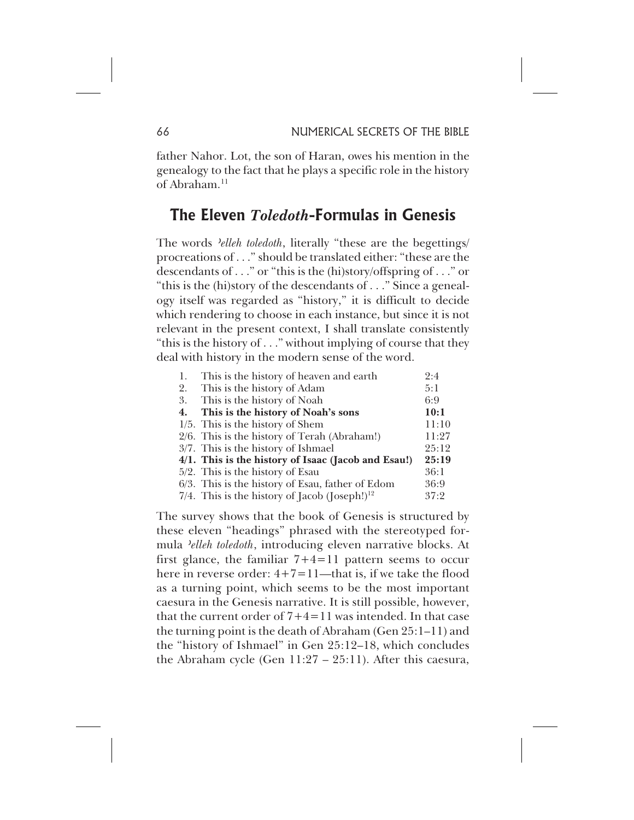father Nahor. Lot, the son of Haran, owes his mention in the genealogy to the fact that he plays a specific role in the history of Abraham.<sup>11</sup>

# **The Eleven** *Toledoth***-Formulas in Genesis**

The words *'elleh toledoth*, literally "these are the begettings/ procreations of . . ." should be translated either: "these are the descendants of . . ." or "this is the (hi)story/offspring of . . ." or "this is the (hi)story of the descendants of . . ." Since a genealogy itself was regarded as "history," it is difficult to decide which rendering to choose in each instance, but since it is not relevant in the present context, I shall translate consistently "this is the history of . . ." without implying of course that they deal with history in the modern sense of the word.

| This is the history of heaven and earth.<br>1.            | 2:4   |
|-----------------------------------------------------------|-------|
| 2. This is the history of Adam                            | 5:1   |
| 3. This is the history of Noah                            | 6:9   |
| This is the history of Noah's sons<br>4.                  | 10:1  |
| $1/5$ . This is the history of Shem                       | 11:10 |
| 2/6. This is the history of Terah (Abraham!)              | 11:27 |
| $3/7$ . This is the history of Ishmael                    | 25:12 |
| 4/1. This is the history of Isaac (Jacob and Esau!)       | 25:19 |
| $5/2$ . This is the history of Esau                       | 36:1  |
| 6/3. This is the history of Esau, father of Edom          | 36:9  |
| 7/4. This is the history of Jacob (Joseph!) <sup>12</sup> | 37:2  |

The survey shows that the book of Genesis is structured by these eleven "headings" phrased with the stereotyped formula *'elleh toledoth*, introducing eleven narrative blocks. At first glance, the familiar  $7+4=11$  pattern seems to occur here in reverse order:  $4+7=11$ —that is, if we take the flood as a turning point, which seems to be the most important caesura in the Genesis narrative. It is still possible, however, that the current order of  $7+4=11$  was intended. In that case the turning point is the death of Abraham (Gen 25:1–11) and the "history of Ishmael" in Gen 25:12–18, which concludes the Abraham cycle (Gen 11:27 – 25:11). After this caesura,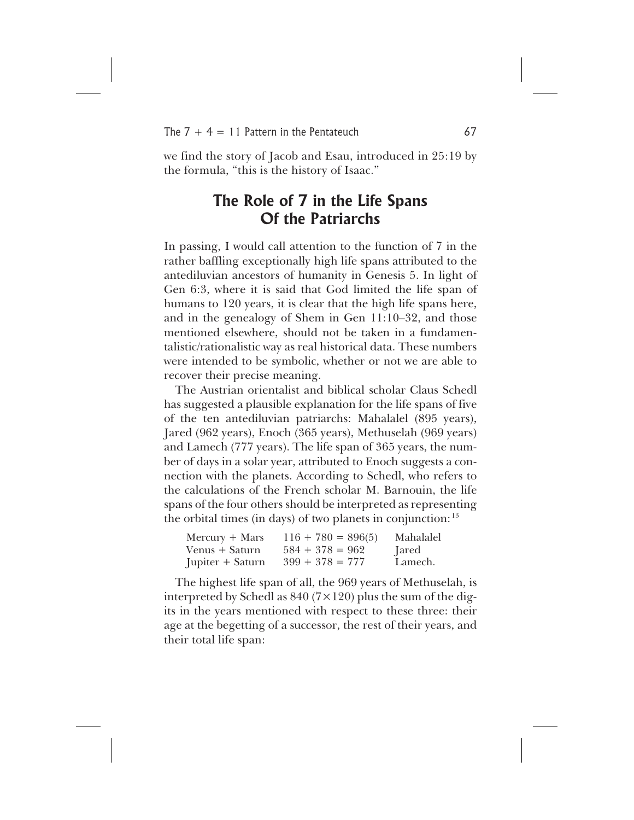we find the story of Jacob and Esau, introduced in 25:19 by the formula, "this is the history of Isaac."

# **The Role of 7 in the Life Spans Of the Patriarchs**

In passing, I would call attention to the function of 7 in the rather baffling exceptionally high life spans attributed to the antediluvian ancestors of humanity in Genesis 5. In light of Gen 6:3, where it is said that God limited the life span of humans to 120 years, it is clear that the high life spans here, and in the genealogy of Shem in Gen 11:10–32, and those mentioned elsewhere, should not be taken in a fundamentalistic/rationalistic way as real historical data. These numbers were intended to be symbolic, whether or not we are able to recover their precise meaning.

The Austrian orientalist and biblical scholar Claus Schedl has suggested a plausible explanation for the life spans of five of the ten antediluvian patriarchs: Mahalalel (895 years), Jared (962 years), Enoch (365 years), Methuselah (969 years) and Lamech (777 years). The life span of 365 years, the number of days in a solar year, attributed to Enoch suggests a connection with the planets. According to Schedl, who refers to the calculations of the French scholar M. Barnouin, the life spans of the four others should be interpreted as representing the orbital times (in days) of two planets in conjunction:  $13$ 

| $Mercury + Mars$ | $116 + 780 = 896(5)$ | Mahalalel |
|------------------|----------------------|-----------|
| Venus + Saturn   | $584 + 378 = 962$    | Jared     |
| Jupiter + Saturn | $399 + 378 = 777$    | Lamech.   |

The highest life span of all, the 969 years of Methuselah, is interpreted by Schedl as  $840 (7 \times 120)$  plus the sum of the digits in the years mentioned with respect to these three: their age at the begetting of a successor, the rest of their years, and their total life span: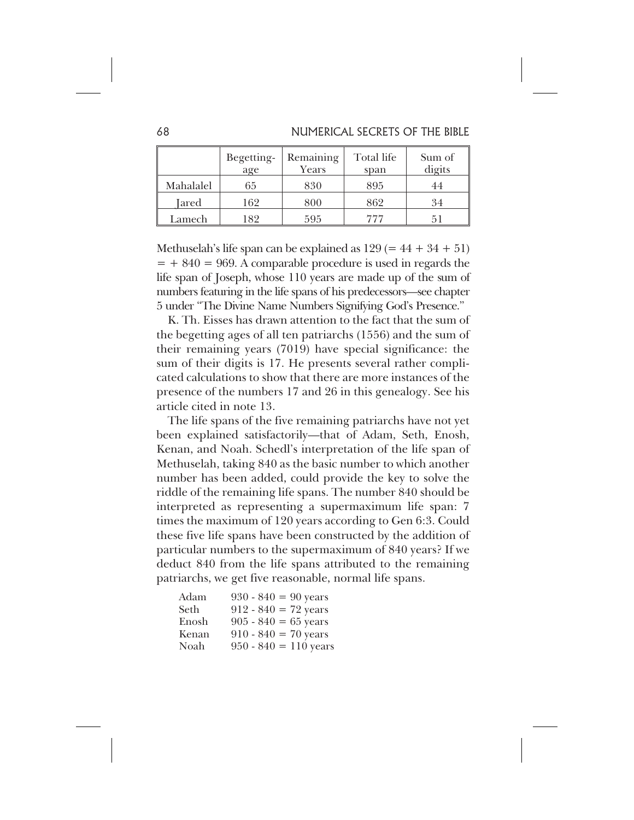|           | Begetting-<br>age | Remaining<br>Years | Total life<br>span | Sum of<br>digits |
|-----------|-------------------|--------------------|--------------------|------------------|
| Mahalalel | 65                | 830                | 895                | 44               |
| Jared     | 162               | 800                | 862                | 34               |
| Lamech    | 182               | 595                | 777                |                  |

Methuselah's life span can be explained as  $129 (= 44 + 34 + 51)$  $= +840 = 969$ . A comparable procedure is used in regards the life span of Joseph, whose 110 years are made up of the sum of numbers featuring in the life spans of his predecessors—see chapter 5 under "The Divine Name Numbers Signifying God's Presence."

K. Th. Eisses has drawn attention to the fact that the sum of the begetting ages of all ten patriarchs (1556) and the sum of their remaining years (7019) have special significance: the sum of their digits is 17. He presents several rather complicated calculations to show that there are more instances of the presence of the numbers 17 and 26 in this genealogy. See his article cited in note 13.

The life spans of the five remaining patriarchs have not yet been explained satisfactorily—that of Adam, Seth, Enosh, Kenan, and Noah. Schedl's interpretation of the life span of Methuselah, taking 840 as the basic number to which another number has been added, could provide the key to solve the riddle of the remaining life spans. The number 840 should be interpreted as representing a supermaximum life span: 7 times the maximum of 120 years according to Gen 6:3. Could these five life spans have been constructed by the addition of particular numbers to the supermaximum of 840 years? If we deduct 840 from the life spans attributed to the remaining patriarchs, we get five reasonable, normal life spans.

| Adam  | $930 - 840 = 90$ years  |
|-------|-------------------------|
| Seth  | $912 - 840 = 72$ years  |
| Enosh | $905 - 840 = 65$ years  |
| Kenan | $910 - 840 = 70$ years  |
| Noah  | $950 - 840 = 110$ years |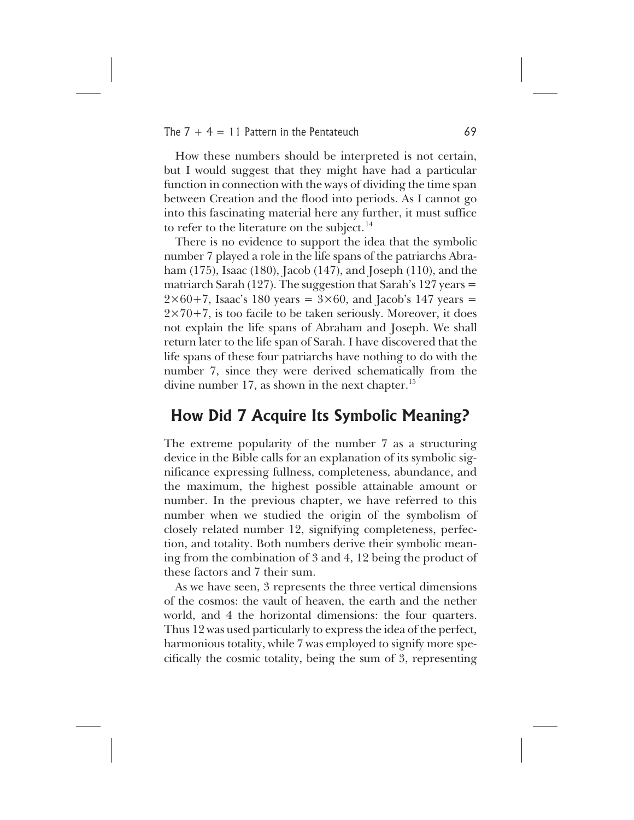How these numbers should be interpreted is not certain, but I would suggest that they might have had a particular function in connection with the ways of dividing the time span between Creation and the flood into periods. As I cannot go into this fascinating material here any further, it must suffice to refer to the literature on the subject.<sup>14</sup>

There is no evidence to support the idea that the symbolic number 7 played a role in the life spans of the patriarchs Abraham (175), Isaac (180), Jacob (147), and Joseph (110), and the matriarch Sarah (127). The suggestion that Sarah's 127 years  $=$  $2\times60+7$ , Isaac's 180 years =  $3\times60$ , and Jacob's 147 years =  $2\times70+7$ , is too facile to be taken seriously. Moreover, it does not explain the life spans of Abraham and Joseph. We shall return later to the life span of Sarah. I have discovered that the life spans of these four patriarchs have nothing to do with the number 7, since they were derived schematically from the divine number 17, as shown in the next chapter.<sup>15</sup>

# **How Did 7 Acquire Its Symbolic Meaning?**

The extreme popularity of the number 7 as a structuring device in the Bible calls for an explanation of its symbolic significance expressing fullness, completeness, abundance, and the maximum, the highest possible attainable amount or number. In the previous chapter, we have referred to this number when we studied the origin of the symbolism of closely related number 12, signifying completeness, perfection, and totality. Both numbers derive their symbolic meaning from the combination of 3 and 4, 12 being the product of these factors and 7 their sum.

As we have seen, 3 represents the three vertical dimensions of the cosmos: the vault of heaven, the earth and the nether world, and 4 the horizontal dimensions: the four quarters. Thus 12 was used particularly to express the idea of the perfect, harmonious totality, while 7 was employed to signify more specifically the cosmic totality, being the sum of 3, representing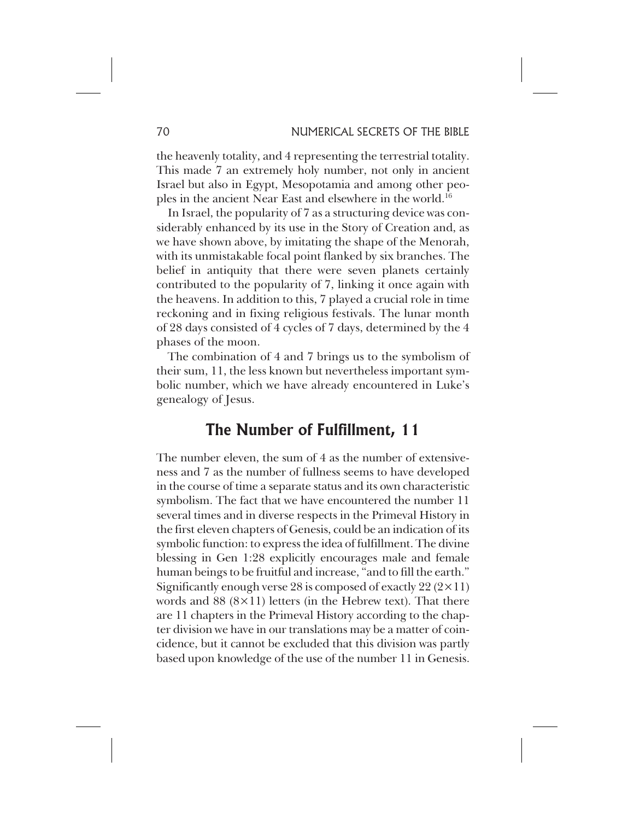the heavenly totality, and 4 representing the terrestrial totality. This made 7 an extremely holy number, not only in ancient Israel but also in Egypt, Mesopotamia and among other peoples in the ancient Near East and elsewhere in the world.<sup>16</sup>

In Israel, the popularity of 7 as a structuring device was considerably enhanced by its use in the Story of Creation and, as we have shown above, by imitating the shape of the Menorah, with its unmistakable focal point flanked by six branches. The belief in antiquity that there were seven planets certainly contributed to the popularity of 7, linking it once again with the heavens. In addition to this, 7 played a crucial role in time reckoning and in fixing religious festivals. The lunar month of 28 days consisted of 4 cycles of 7 days, determined by the 4 phases of the moon.

The combination of 4 and 7 brings us to the symbolism of their sum, 11, the less known but nevertheless important symbolic number, which we have already encountered in Luke's genealogy of Jesus.

# **The Number of Fulfillment, 11**

The number eleven, the sum of 4 as the number of extensiveness and 7 as the number of fullness seems to have developed in the course of time a separate status and its own characteristic symbolism. The fact that we have encountered the number 11 several times and in diverse respects in the Primeval History in the first eleven chapters of Genesis, could be an indication of its symbolic function: to express the idea of fulfillment. The divine blessing in Gen 1:28 explicitly encourages male and female human beings to be fruitful and increase, "and to fill the earth." Significantly enough verse 28 is composed of exactly 22  $(2 \times 11)$ words and  $88 (8 \times 11)$  letters (in the Hebrew text). That there are 11 chapters in the Primeval History according to the chapter division we have in our translations may be a matter of coincidence, but it cannot be excluded that this division was partly based upon knowledge of the use of the number 11 in Genesis.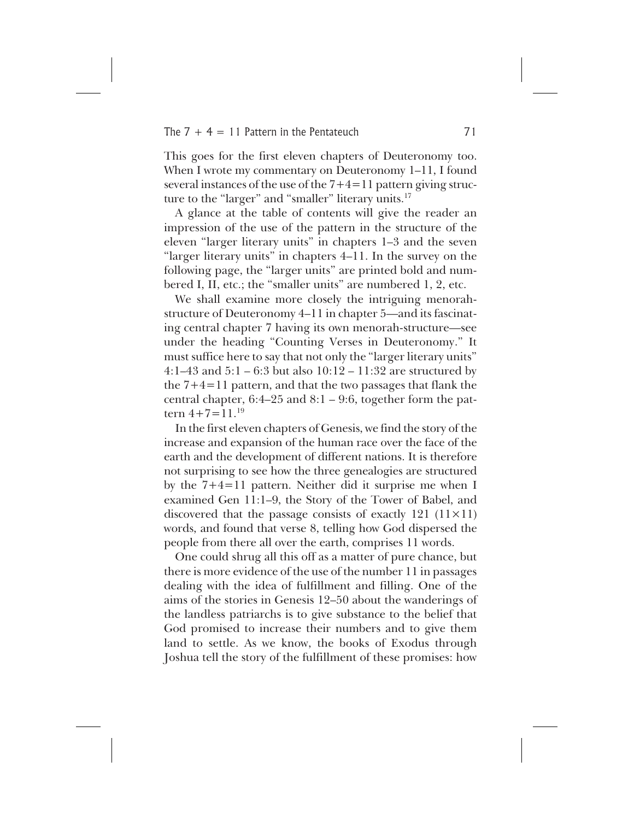This goes for the first eleven chapters of Deuteronomy too. When I wrote my commentary on Deuteronomy 1–11, I found several instances of the use of the  $7+4=11$  pattern giving structure to the "larger" and "smaller" literary units.<sup>17</sup>

A glance at the table of contents will give the reader an impression of the use of the pattern in the structure of the eleven "larger literary units" in chapters 1–3 and the seven "larger literary units" in chapters 4–11. In the survey on the following page, the "larger units" are printed bold and numbered I, II, etc.; the "smaller units" are numbered 1, 2, etc.

We shall examine more closely the intriguing menorahstructure of Deuteronomy 4–11 in chapter 5—and its fascinating central chapter 7 having its own menorah-structure—see under the heading "Counting Verses in Deuteronomy." It must suffice here to say that not only the "larger literary units" 4:1–43 and 5:1 – 6:3 but also 10:12 – 11:32 are structured by the 7+4=11 pattern, and that the two passages that flank the central chapter,  $6:4-25$  and  $8:1-9:6$ , together form the pattern  $4+7=11^{19}$ 

In the first eleven chapters of Genesis, we find the story of the increase and expansion of the human race over the face of the earth and the development of different nations. It is therefore not surprising to see how the three genealogies are structured by the 7+4=11 pattern. Neither did it surprise me when I examined Gen 11:1–9, the Story of the Tower of Babel, and discovered that the passage consists of exactly 121  $(11 \times 11)$ words, and found that verse 8, telling how God dispersed the people from there all over the earth, comprises 11 words.

One could shrug all this off as a matter of pure chance, but there is more evidence of the use of the number 11 in passages dealing with the idea of fulfillment and filling. One of the aims of the stories in Genesis 12–50 about the wanderings of the landless patriarchs is to give substance to the belief that God promised to increase their numbers and to give them land to settle. As we know, the books of Exodus through Joshua tell the story of the fulfillment of these promises: how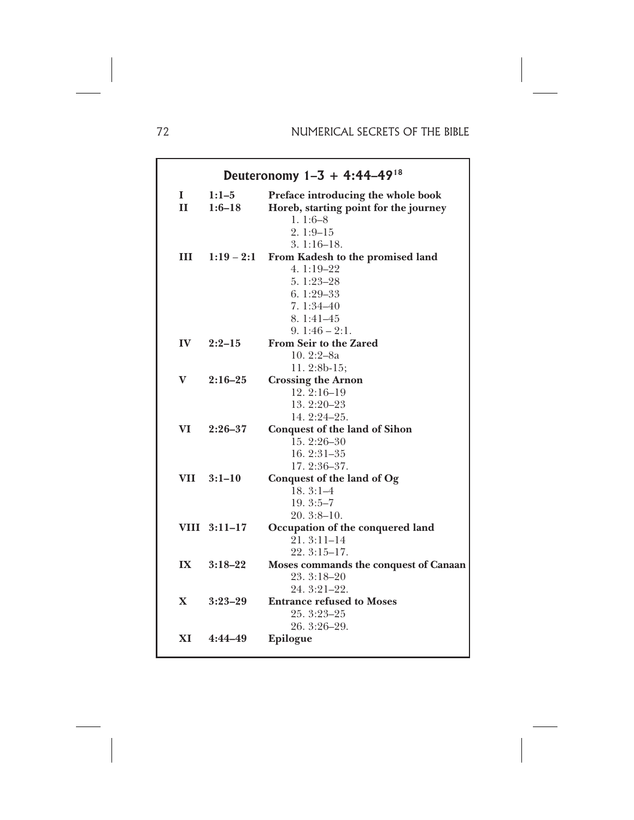| Deuteronomy $1-3 + 4:44-49^{18}$ |                       |                                                                                                        |  |  |
|----------------------------------|-----------------------|--------------------------------------------------------------------------------------------------------|--|--|
| $\mathbf{I}$<br>$\mathbf{H}$     | $1:1-5$<br>$1:6 - 18$ | Preface introducing the whole book<br>Horeb, starting point for the journey<br>$1.1:6-8$<br>$2.1:9-15$ |  |  |
| Ш                                | $1:19 - 2:1$          | $3.1:16-18.$<br>From Kadesh to the promised land<br>4. $1:19-22$<br>$5.1:23-28$                        |  |  |
|                                  |                       | $6.1:29-33$<br>$7.1:34 - 40$<br>8.1:41-45<br>$9.1:46 - 2:1.$                                           |  |  |
|                                  | IV $2:2-15$           | <b>From Seir to the Zared</b><br>10.2:2-8a<br>11.2:8b-15;                                              |  |  |
| $\mathbf{V}$                     | $2:16 - 25$           | <b>Crossing the Arnon</b><br>$12.2:16-19$<br>13.2:20-23<br>14.2:24-25.                                 |  |  |
| VI —                             | $2:26 - 37$           | <b>Conquest of the land of Sihon</b><br>$15.2:26 - 30$<br>$16.2:31-35$<br>17.2:36-37.                  |  |  |
|                                  | VII 3:1-10            | Conquest of the land of Og<br>$18.3:1-4$<br>$19.3:5-7$<br>$20.3:8-10.$                                 |  |  |
|                                  | VIII 3:11-17          | Occupation of the conquered land<br>$21.3:11-14$<br>$22.3:15-17.$                                      |  |  |
| $\mathbf{I} \mathbf{X}$          | $3:18 - 22$           | Moses commands the conquest of Canaan<br>23.3:18-20<br>$24.3:21-22.$                                   |  |  |
| $\mathbf{X}$                     | $3:23-29$             | <b>Entrance refused to Moses</b><br>25. 3:23-25<br>26. 3:26-29.                                        |  |  |
|                                  | XI 4:44-49            | Epilogue                                                                                               |  |  |